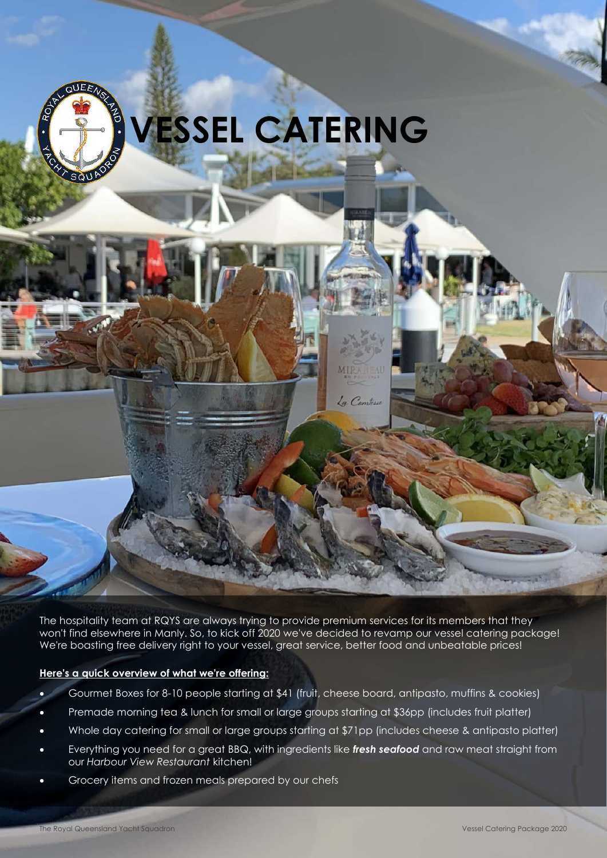

The hospitality team at RQYS are always trying to provide premium services for its members that they won't find elsewhere in Manly. So, to kick off 2020 we've decided to revamp our vessel catering package! We're boasting free delivery right to your vessel, great service, better food and unbeatable prices!

La Comtess

#### **Here's a quick overview of what we're offering:**

- Gourmet Boxes for 8-10 people starting at \$41 (fruit, cheese board, antipasto, muffins & cookies)
- Premade morning tea & lunch for small or large groups starting at \$36pp (includes fruit platter)
- Whole day catering for small or large groups starting at \$71pp (includes cheese & antipasto platter)
- Everything you need for a great BBQ, with ingredients like *fresh seafood* and raw meat straight from our *Harbour View Restaurant* kitchen!
- Grocery items and frozen meals prepared by our chefs

**Secretary 1975**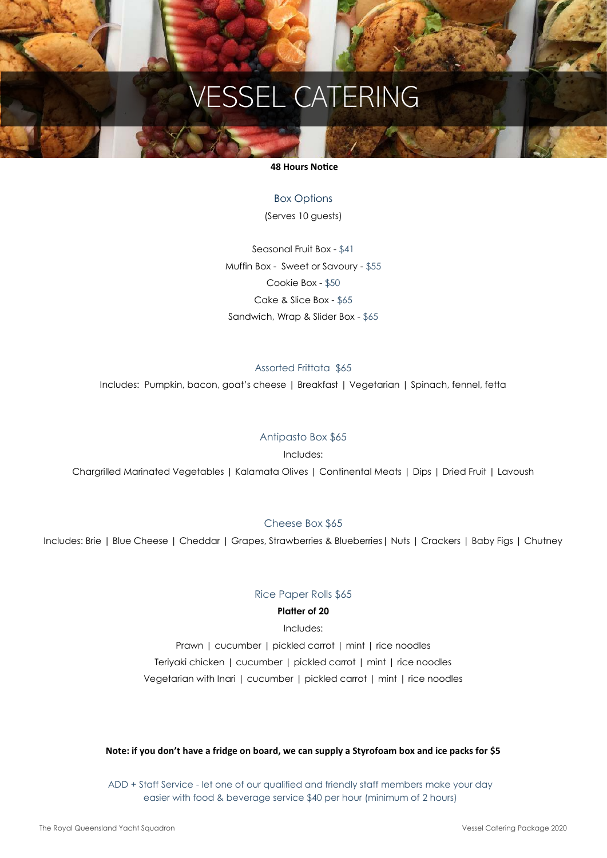#### **48 Hours Notice**

Box Options (Serves 10 guests)

Seasonal Fruit Box - \$41 Muffin Box - Sweet or Savoury - \$55 Cookie Box - \$50 Cake & Slice Box - \$65 Sandwich, Wrap & Slider Box - \$65

#### Assorted Frittata \$65

Includes: Pumpkin, bacon, goat's cheese | Breakfast | Vegetarian | Spinach, fennel, fetta

#### Antipasto Box \$65

Includes:

Chargrilled Marinated Vegetables | Kalamata Olives | Continental Meats | Dips | Dried Fruit | Lavoush

#### Cheese Box \$65

Includes: Brie | Blue Cheese | Cheddar | Grapes, Strawberries & Blueberries| Nuts | Crackers | Baby Figs | Chutney

#### Rice Paper Rolls \$65

#### **Platter of 20**

Includes: Prawn | cucumber | pickled carrot | mint | rice noodles Teriyaki chicken | cucumber | pickled carrot | mint | rice noodles Vegetarian with Inari | cucumber | pickled carrot | mint | rice noodles

#### **Note: if you don't have a fridge on board, we can supply a Styrofoam box and ice packs for \$5**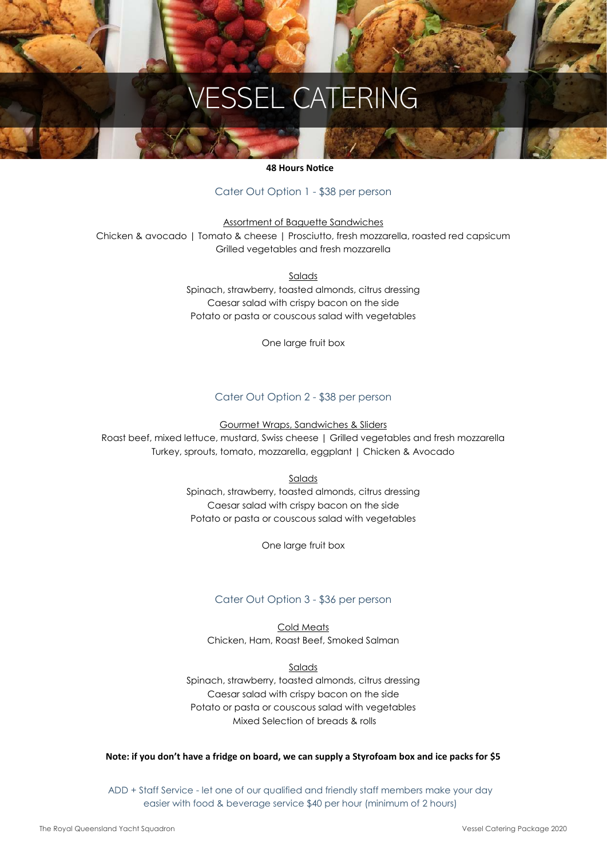#### **48 Hours Notice**

#### Cater Out Option 1 - \$38 per person

Assortment of Baguette Sandwiches Chicken & avocado | Tomato & cheese | Prosciutto, fresh mozzarella, roasted red capsicum Grilled vegetables and fresh mozzarella

> **Salads** Spinach, strawberry, toasted almonds, citrus dressing Caesar salad with crispy bacon on the side Potato or pasta or couscous salad with vegetables

> > One large fruit box

#### Cater Out Option 2 - \$38 per person

Gourmet Wraps, Sandwiches & Sliders

Roast beef, mixed lettuce, mustard, Swiss cheese | Grilled vegetables and fresh mozzarella Turkey, sprouts, tomato, mozzarella, eggplant | Chicken & Avocado

Salads

Spinach, strawberry, toasted almonds, citrus dressing Caesar salad with crispy bacon on the side Potato or pasta or couscous salad with vegetables

One large fruit box

#### Cater Out Option 3 - \$36 per person

Cold Meats Chicken, Ham, Roast Beef, Smoked Salman

Salads

Spinach, strawberry, toasted almonds, citrus dressing Caesar salad with crispy bacon on the side Potato or pasta or couscous salad with vegetables Mixed Selection of breads & rolls

#### **Note: if you don't have a fridge on board, we can supply a Styrofoam box and ice packs for \$5**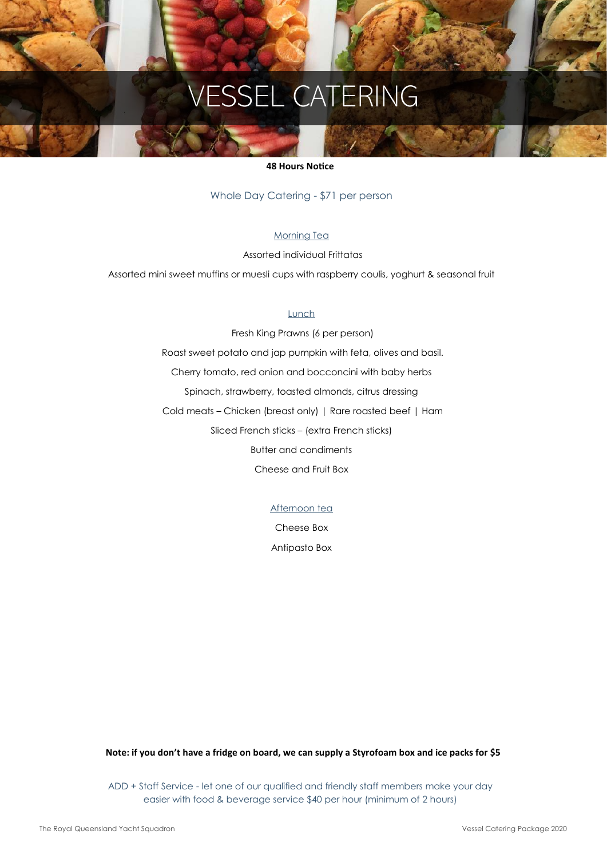#### **48 Hours Notice**

Whole Day Catering - \$71 per person

#### Morning Tea

Assorted individual Frittatas

Assorted mini sweet muffins or muesli cups with raspberry coulis, yoghurt & seasonal fruit

#### Lunch

 Fresh King Prawns (6 per person) Roast sweet potato and jap pumpkin with feta, olives and basil. Cherry tomato, red onion and bocconcini with baby herbs Spinach, strawberry, toasted almonds, citrus dressing Cold meats – Chicken (breast only) | Rare roasted beef | Ham Sliced French sticks – (extra French sticks) Butter and condiments Cheese and Fruit Box

Afternoon tea

Cheese Box

Antipasto Box

**Note: if you don't have a fridge on board, we can supply a Styrofoam box and ice packs for \$5**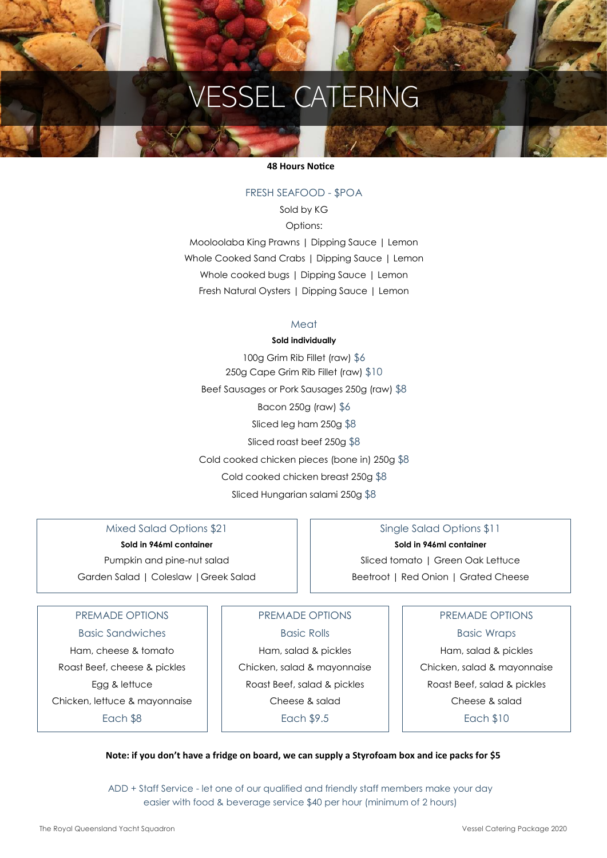#### **48 Hours Notice**

#### FRESH SEAFOOD - \$POA

Sold by KG Options: Mooloolaba King Prawns | Dipping Sauce | Lemon Whole Cooked Sand Crabs | Dipping Sauce | Lemon Whole cooked bugs | Dipping Sauce | Lemon Fresh Natural Oysters | Dipping Sauce | Lemon

#### Meat

#### **Sold individually**

100g Grim Rib Fillet (raw) \$6 250g Cape Grim Rib Fillet (raw) \$10 Beef Sausages or Pork Sausages 250g (raw) \$8 Bacon 250g (raw) \$6 Sliced leg ham 250g \$8 Sliced roast beef 250g \$8 Cold cooked chicken pieces (bone in) 250g \$8 Cold cooked chicken breast 250g \$8 Sliced Hungarian salami 250g \$8

Mixed Salad Options \$21 **Sold in 946ml container** 

Pumpkin and pine-nut salad Garden Salad | Coleslaw |Greek Salad

### Single Salad Options \$11 **Sold in 946ml container**

Sliced tomato | Green Oak Lettuce Beetroot | Red Onion | Grated Cheese

#### PREMADE OPTIONS

Basic Sandwiches Ham, cheese & tomato Roast Beef, cheese & pickles Egg & lettuce Chicken, lettuce & mayonnaise Each \$8

PREMADE OPTIONS

Basic Rolls Ham, salad & pickles Chicken, salad & mayonnaise Roast Beef, salad & pickles Cheese & salad Each \$9.5

#### PREMADE OPTIONS

Basic Wraps

Ham, salad & pickles Chicken, salad & mayonnaise Roast Beef, salad & pickles Cheese & salad Each \$10

#### **Note: if you don't have a fridge on board, we can supply a Styrofoam box and ice packs for \$5**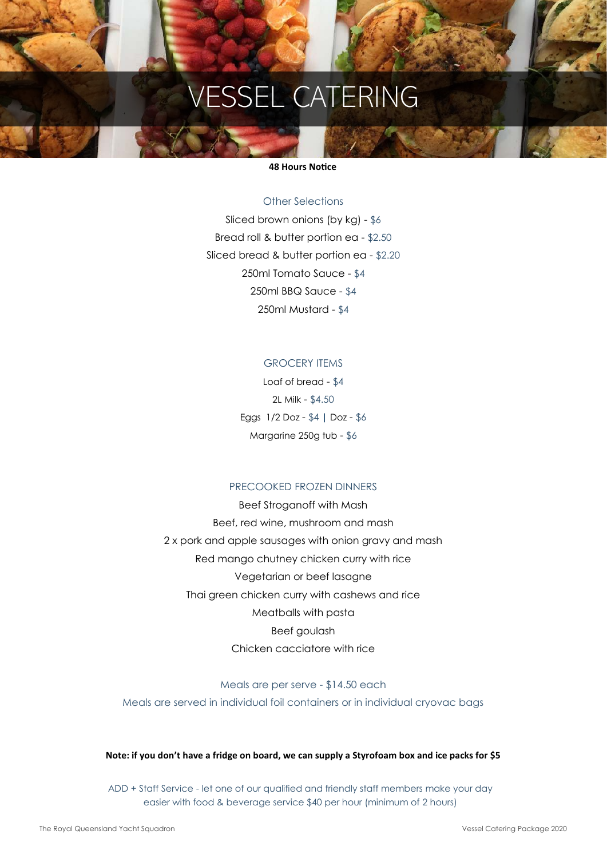#### **48 Hours Notice**

#### Other Selections

Sliced brown onions (by kg) - \$6 Bread roll & butter portion ea - \$2.50 Sliced bread & butter portion ea - \$2.20 250ml Tomato Sauce - \$4 250ml BBQ Sauce - \$4 250ml Mustard - \$4

#### GROCERY ITEMS

Loaf of bread - \$4 2L Milk - \$4.50 Eggs 1/2 Doz - \$4 **|** Doz - \$6 Margarine 250g tub - \$6

#### PRECOOKED FROZEN DINNERS

Beef Stroganoff with Mash Beef, red wine, mushroom and mash 2 x pork and apple sausages with onion gravy and mash Red mango chutney chicken curry with rice Vegetarian or beef lasagne Thai green chicken curry with cashews and rice Meatballs with pasta Beef goulash Chicken cacciatore with rice

Meals are per serve - \$14.50 each Meals are served in individual foil containers or in individual cryovac bags

#### **Note: if you don't have a fridge on board, we can supply a Styrofoam box and ice packs for \$5**